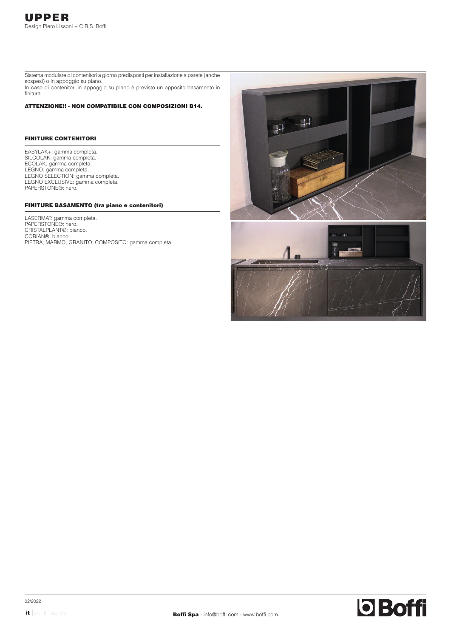Sistema modulare di contenitori a giorno predisposti per installazione a parete (anche sospesi) o in appoggio su piano. In caso di contenitori in appoggio su piano è previsto un apposito basamento in finitura.

#### ATTENZIONE!! - NON COMPATIBILE CON COMPOSIZIONI B14.

## FINITURE CONTENITORI

EASYLAK+: gamma completa. SILCOLAK: gamma completa. ECOLAK: gamma completa. LEGNO: gamma completa. LEGNO SELECTION: gamma completa. LEGNO EXCLUSIVE: gamma completa. PAPERSTONE®: nero.

# FINITURE BASAMENTO (tra piano e contenitori)

LASERMAT: gamma completa. PAPERSTONE®: nero. CRISTALPLANT®: bianco. CORIAN®: bianco. PIETRA, MARMO, GRANITO, COMPOSITO: gamma completa.

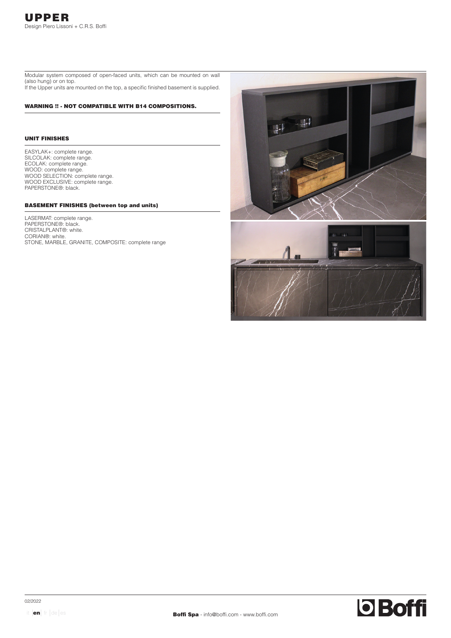Modular system composed of open-faced units, which can be mounted on wall (also hung) or on top. If the Upper units are mounted on the top, a specific finished basement is supplied.

#### WARNING !! - NOT COMPATIBLE WITH B14 COMPOSITIONS.

## UNIT FINISHES

EASYLAK+: complete range. SILCOLAK: complete range. ECOLAK: complete range. WOOD: complete range. WOOD SELECTION: complete range. WOOD EXCLUSIVE: complete range. PAPERSTONE®: black.

# BASEMENT FINISHES (between top and units)

LASERMAT: complete range. PAPERSTONE®: black. CRISTALPLANT®: white. CORIAN®: white. STONE, MARBLE, GRANITE, COMPOSITE: complete range

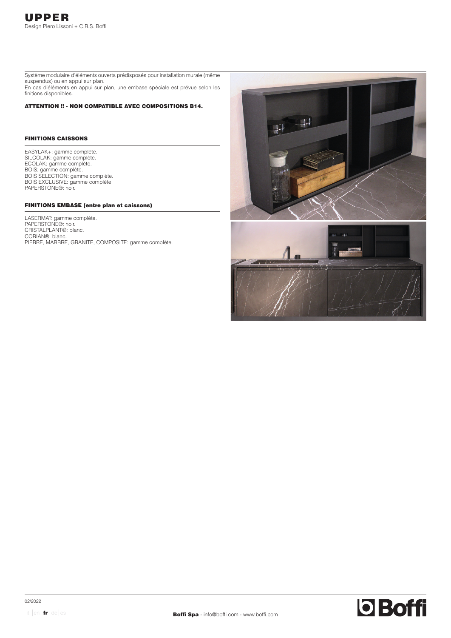Système modulaire d'éléments ouverts prédisposés pour installation murale (même suspendus) ou en appui sur plan. En cas d'éléments en appui sur plan, une embase spéciale est prévue selon les finitions disponibles.

#### ATTENTION !! - NON COMPATIBLE AVEC COMPOSITIONS B14.

## FINITIONS CAISSONS

EASYLAK+: gamme complète. SILCOLAK: gamme complète. ECOLAK: gamme complète. BOIS: gamme complète. BOIS SELECTION: gamme complète. BOIS EXCLUSIVE: gamme complète. PAPERSTONE®: noir.

# FINITIONS EMBASE (entre plan et caissons)

LASERMAT: gamme complète. PAPERSTONE®: noir. CRISTALPLANT®: blanc. CORIAN<sup>®</sup>: blanc. PIERRE, MARBRE, GRANITE, COMPOSITE: gamme complète.

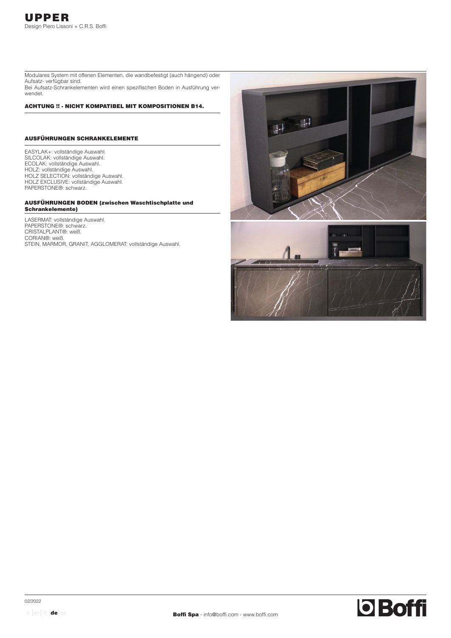Modulares System mit offenen Elementen, die wandbefestigt (auch hängend) oder Aufsatz- verfügbar sind. Bei Aufsatz-Schrankelementen wird einen spezifischen Boden in Ausführung verwendet.

ACHTUNG !! - NICHT KOMPATIBEL MIT KOMPOSITIONEN B14.

## AUSFÜHRUNGEN SCHRANKELEMENTE

EASYLAK+: vollständige Auswahl. SILCOLAK: vollständige Auswahl. ECOLAK: vollständige Auswahl. HOLZ: vollständige Auswahl. HOLZ SELECTION: vollständige Auswahl. HOLZ EXCLUSIVE: vollständige Auswahl. PAPERSTONE®: schwarz.

#### AUSFÜHRUNGEN BODEN (zwischen Waschtischplatte und Schrankelemente)

LASERMAT: vollständige Auswahl. PAPERSTONE®: schwarz. CRISTALPLANT®: weiß. CORIAN®: weiß. STEIN, MARMOR, GRANIT, AGGLOMERAT: vollständige Auswahl.